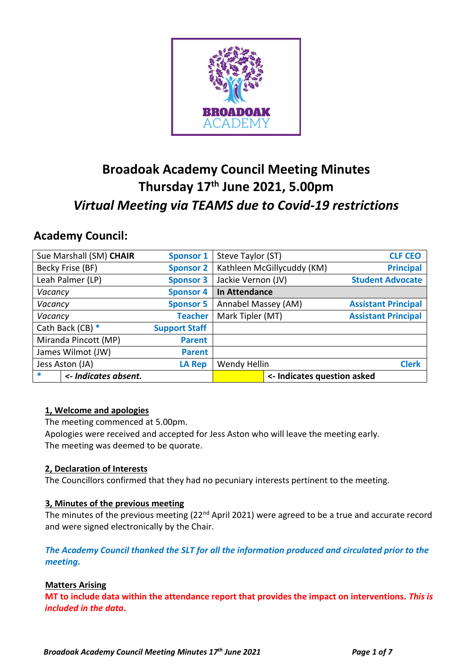

# **Broadoak Academy Council Meeting Minutes Thursday 17th June 2021, 5.00pm** *Virtual Meeting via TEAMS due to Covid-19 restrictions*

## **Academy Council:**

| Sue Marshall (SM) CHAIR        | <b>Sponsor 1</b>     | Steve Taylor (ST)           | <b>CLF CEO</b>             |
|--------------------------------|----------------------|-----------------------------|----------------------------|
| Becky Frise (BF)               | <b>Sponsor 2</b>     | Kathleen McGillycuddy (KM)  | <b>Principal</b>           |
| Leah Palmer (LP)               | <b>Sponsor 3</b>     | Jackie Vernon (JV)          | <b>Student Advocate</b>    |
| Vacancy                        | <b>Sponsor 4</b>     | In Attendance               |                            |
| Vacancy                        | <b>Sponsor 5</b>     | Annabel Massey (AM)         | <b>Assistant Principal</b> |
| Vacancy                        | <b>Teacher</b>       | Mark Tipler (MT)            | <b>Assistant Principal</b> |
| Cath Back (CB) $*$             | <b>Support Staff</b> |                             |                            |
| Miranda Pincott (MP)           | <b>Parent</b>        |                             |                            |
| James Wilmot (JW)              | <b>Parent</b>        |                             |                            |
| Jess Aston (JA)                | <b>LA Rep</b>        | Wendy Hellin                | <b>Clerk</b>               |
| $\ast$<br><- Indicates absent. |                      | <- Indicates question asked |                            |

## **1, Welcome and apologies**

The meeting commenced at 5.00pm.

Apologies were received and accepted for Jess Aston who will leave the meeting early. The meeting was deemed to be quorate.

## **2, Declaration of Interests**

The Councillors confirmed that they had no pecuniary interests pertinent to the meeting.

## **3, Minutes of the previous meeting**

The minutes of the previous meeting (22<sup>nd</sup> April 2021) were agreed to be a true and accurate record and were signed electronically by the Chair.

*The Academy Council thanked the SLT for all the information produced and circulated prior to the meeting.*

## **Matters Arising**

**MT to include data within the attendance report that provides the impact on interventions.** *This is included in the data.*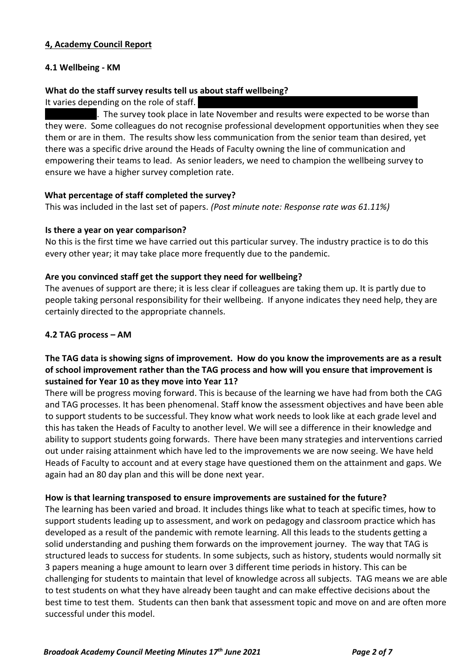## **4, Academy Council Report**

## **4.1 Wellbeing - KM**

#### **What do the staff survey results tell us about staff wellbeing?**

It varies depending on the role of staff.

. The survey took place in late November and results were expected to be worse than they were. Some colleagues do not recognise professional development opportunities when they see them or are in them. The results show less communication from the senior team than desired, yet there was a specific drive around the Heads of Faculty owning the line of communication and empowering their teams to lead. As senior leaders, we need to champion the wellbeing survey to ensure we have a higher survey completion rate.

#### **What percentage of staff completed the survey?**

This was included in the last set of papers. *(Post minute note: Response rate was 61.11%)*

#### **Is there a year on year comparison?**

No this is the first time we have carried out this particular survey. The industry practice is to do this every other year; it may take place more frequently due to the pandemic.

#### **Are you convinced staff get the support they need for wellbeing?**

The avenues of support are there; it is less clear if colleagues are taking them up. It is partly due to people taking personal responsibility for their wellbeing. If anyone indicates they need help, they are certainly directed to the appropriate channels.

#### **4.2 TAG process – AM**

## **The TAG data is showing signs of improvement. How do you know the improvements are as a result of school improvement rather than the TAG process and how will you ensure that improvement is sustained for Year 10 as they move into Year 11?**

There will be progress moving forward. This is because of the learning we have had from both the CAG and TAG processes. It has been phenomenal. Staff know the assessment objectives and have been able to support students to be successful. They know what work needs to look like at each grade level and this has taken the Heads of Faculty to another level. We will see a difference in their knowledge and ability to support students going forwards. There have been many strategies and interventions carried out under raising attainment which have led to the improvements we are now seeing. We have held Heads of Faculty to account and at every stage have questioned them on the attainment and gaps. We again had an 80 day plan and this will be done next year.

#### **How is that learning transposed to ensure improvements are sustained for the future?**

The learning has been varied and broad. It includes things like what to teach at specific times, how to support students leading up to assessment, and work on pedagogy and classroom practice which has developed as a result of the pandemic with remote learning. All this leads to the students getting a solid understanding and pushing them forwards on the improvement journey. The way that TAG is structured leads to success for students. In some subjects, such as history, students would normally sit 3 papers meaning a huge amount to learn over 3 different time periods in history. This can be challenging for students to maintain that level of knowledge across all subjects. TAG means we are able to test students on what they have already been taught and can make effective decisions about the best time to test them. Students can then bank that assessment topic and move on and are often more successful under this model.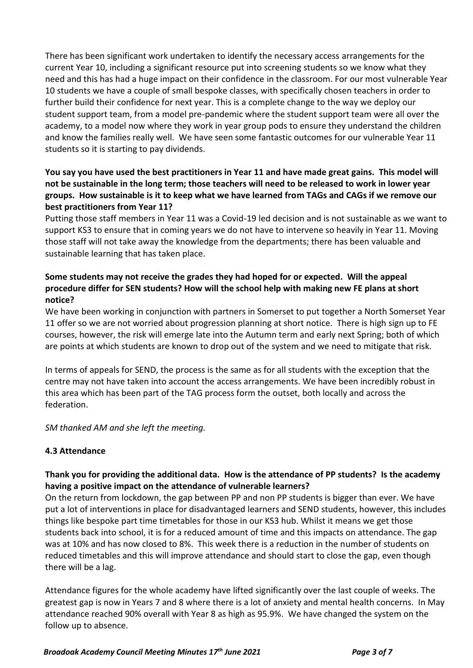There has been significant work undertaken to identify the necessary access arrangements for the current Year 10, including a significant resource put into screening students so we know what they need and this has had a huge impact on their confidence in the classroom. For our most vulnerable Year 10 students we have a couple of small bespoke classes, with specifically chosen teachers in order to further build their confidence for next year. This is a complete change to the way we deploy our student support team, from a model pre-pandemic where the student support team were all over the academy, to a model now where they work in year group pods to ensure they understand the children and know the families really well. We have seen some fantastic outcomes for our vulnerable Year 11 students so it is starting to pay dividends.

## **You say you have used the best practitioners in Year 11 and have made great gains. This model will not be sustainable in the long term; those teachers will need to be released to work in lower year groups. How sustainable is it to keep what we have learned from TAGs and CAGs if we remove our best practitioners from Year 11?**

Putting those staff members in Year 11 was a Covid-19 led decision and is not sustainable as we want to support KS3 to ensure that in coming years we do not have to intervene so heavily in Year 11. Moving those staff will not take away the knowledge from the departments; there has been valuable and sustainable learning that has taken place.

## **Some students may not receive the grades they had hoped for or expected. Will the appeal procedure differ for SEN students? How will the school help with making new FE plans at short notice?**

We have been working in conjunction with partners in Somerset to put together a North Somerset Year 11 offer so we are not worried about progression planning at short notice. There is high sign up to FE courses, however, the risk will emerge late into the Autumn term and early next Spring; both of which are points at which students are known to drop out of the system and we need to mitigate that risk.

In terms of appeals for SEND, the process is the same as for all students with the exception that the centre may not have taken into account the access arrangements. We have been incredibly robust in this area which has been part of the TAG process form the outset, both locally and across the federation.

*SM thanked AM and she left the meeting.*

## **4.3 Attendance**

## **Thank you for providing the additional data. How is the attendance of PP students? Is the academy having a positive impact on the attendance of vulnerable learners?**

On the return from lockdown, the gap between PP and non PP students is bigger than ever. We have put a lot of interventions in place for disadvantaged learners and SEND students, however, this includes things like bespoke part time timetables for those in our KS3 hub. Whilst it means we get those students back into school, it is for a reduced amount of time and this impacts on attendance. The gap was at 10% and has now closed to 8%. This week there is a reduction in the number of students on reduced timetables and this will improve attendance and should start to close the gap, even though there will be a lag.

Attendance figures for the whole academy have lifted significantly over the last couple of weeks. The greatest gap is now in Years 7 and 8 where there is a lot of anxiety and mental health concerns. In May attendance reached 90% overall with Year 8 as high as 95.9%. We have changed the system on the follow up to absence.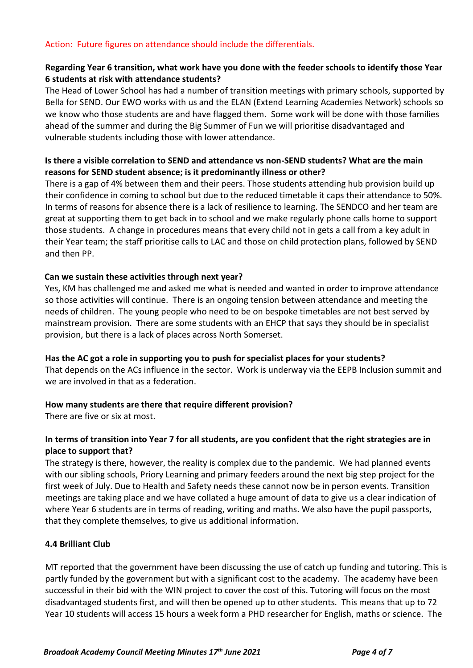#### Action: Future figures on attendance should include the differentials.

#### **Regarding Year 6 transition, what work have you done with the feeder schools to identify those Year 6 students at risk with attendance students?**

The Head of Lower School has had a number of transition meetings with primary schools, supported by Bella for SEND. Our EWO works with us and the ELAN (Extend Learning Academies Network) schools so we know who those students are and have flagged them. Some work will be done with those families ahead of the summer and during the Big Summer of Fun we will prioritise disadvantaged and vulnerable students including those with lower attendance.

## **Is there a visible correlation to SEND and attendance vs non-SEND students? What are the main reasons for SEND student absence; is it predominantly illness or other?**

There is a gap of 4% between them and their peers. Those students attending hub provision build up their confidence in coming to school but due to the reduced timetable it caps their attendance to 50%. In terms of reasons for absence there is a lack of resilience to learning. The SENDCO and her team are great at supporting them to get back in to school and we make regularly phone calls home to support those students. A change in procedures means that every child not in gets a call from a key adult in their Year team; the staff prioritise calls to LAC and those on child protection plans, followed by SEND and then PP.

#### **Can we sustain these activities through next year?**

Yes, KM has challenged me and asked me what is needed and wanted in order to improve attendance so those activities will continue. There is an ongoing tension between attendance and meeting the needs of children. The young people who need to be on bespoke timetables are not best served by mainstream provision. There are some students with an EHCP that says they should be in specialist provision, but there is a lack of places across North Somerset.

#### **Has the AC got a role in supporting you to push for specialist places for your students?**

That depends on the ACs influence in the sector. Work is underway via the EEPB Inclusion summit and we are involved in that as a federation.

## **How many students are there that require different provision?**

There are five or six at most.

## **In terms of transition into Year 7 for all students, are you confident that the right strategies are in place to support that?**

The strategy is there, however, the reality is complex due to the pandemic. We had planned events with our sibling schools, Priory Learning and primary feeders around the next big step project for the first week of July. Due to Health and Safety needs these cannot now be in person events. Transition meetings are taking place and we have collated a huge amount of data to give us a clear indication of where Year 6 students are in terms of reading, writing and maths. We also have the pupil passports, that they complete themselves, to give us additional information.

## **4.4 Brilliant Club**

MT reported that the government have been discussing the use of catch up funding and tutoring. This is partly funded by the government but with a significant cost to the academy. The academy have been successful in their bid with the WIN project to cover the cost of this. Tutoring will focus on the most disadvantaged students first, and will then be opened up to other students. This means that up to 72 Year 10 students will access 15 hours a week form a PHD researcher for English, maths or science. The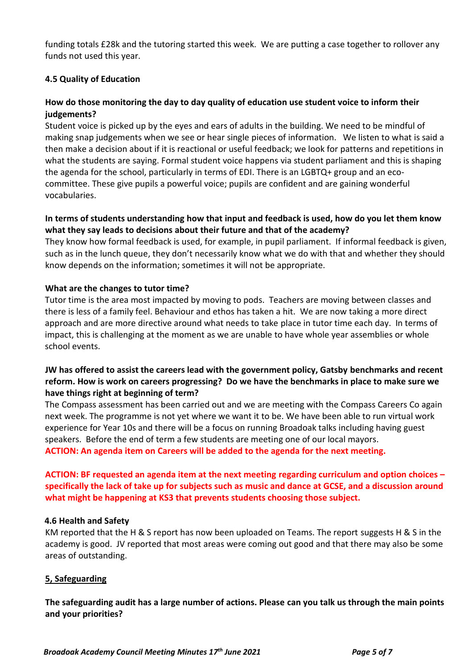funding totals £28k and the tutoring started this week. We are putting a case together to rollover any funds not used this year.

#### **4.5 Quality of Education**

## **How do those monitoring the day to day quality of education use student voice to inform their judgements?**

Student voice is picked up by the eyes and ears of adults in the building. We need to be mindful of making snap judgements when we see or hear single pieces of information. We listen to what is said a then make a decision about if it is reactional or useful feedback; we look for patterns and repetitions in what the students are saying. Formal student voice happens via student parliament and this is shaping the agenda for the school, particularly in terms of EDI. There is an LGBTQ+ group and an ecocommittee. These give pupils a powerful voice; pupils are confident and are gaining wonderful vocabularies.

## **In terms of students understanding how that input and feedback is used, how do you let them know what they say leads to decisions about their future and that of the academy?**

They know how formal feedback is used, for example, in pupil parliament. If informal feedback is given, such as in the lunch queue, they don't necessarily know what we do with that and whether they should know depends on the information; sometimes it will not be appropriate.

#### **What are the changes to tutor time?**

Tutor time is the area most impacted by moving to pods. Teachers are moving between classes and there is less of a family feel. Behaviour and ethos has taken a hit. We are now taking a more direct approach and are more directive around what needs to take place in tutor time each day. In terms of impact, this is challenging at the moment as we are unable to have whole year assemblies or whole school events.

## **JW has offered to assist the careers lead with the government policy, Gatsby benchmarks and recent reform. How is work on careers progressing? Do we have the benchmarks in place to make sure we have things right at beginning of term?**

The Compass assessment has been carried out and we are meeting with the Compass Careers Co again next week. The programme is not yet where we want it to be. We have been able to run virtual work experience for Year 10s and there will be a focus on running Broadoak talks including having guest speakers. Before the end of term a few students are meeting one of our local mayors. **ACTION: An agenda item on Careers will be added to the agenda for the next meeting.**

**ACTION: BF requested an agenda item at the next meeting regarding curriculum and option choices – specifically the lack of take up for subjects such as music and dance at GCSE, and a discussion around what might be happening at KS3 that prevents students choosing those subject.**

#### **4.6 Health and Safety**

KM reported that the H & S report has now been uploaded on Teams. The report suggests H & S in the academy is good. JV reported that most areas were coming out good and that there may also be some areas of outstanding.

## **5, Safeguarding**

**The safeguarding audit has a large number of actions. Please can you talk us through the main points and your priorities?**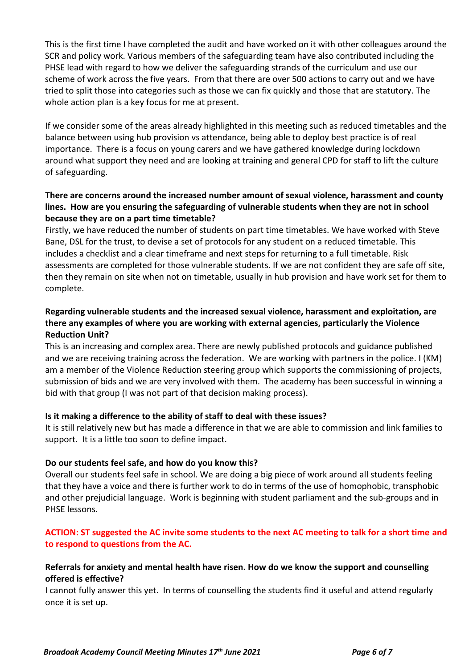This is the first time I have completed the audit and have worked on it with other colleagues around the SCR and policy work. Various members of the safeguarding team have also contributed including the PHSE lead with regard to how we deliver the safeguarding strands of the curriculum and use our scheme of work across the five years. From that there are over 500 actions to carry out and we have tried to split those into categories such as those we can fix quickly and those that are statutory. The whole action plan is a key focus for me at present.

If we consider some of the areas already highlighted in this meeting such as reduced timetables and the balance between using hub provision vs attendance, being able to deploy best practice is of real importance. There is a focus on young carers and we have gathered knowledge during lockdown around what support they need and are looking at training and general CPD for staff to lift the culture of safeguarding.

## **There are concerns around the increased number amount of sexual violence, harassment and county lines. How are you ensuring the safeguarding of vulnerable students when they are not in school because they are on a part time timetable?**

Firstly, we have reduced the number of students on part time timetables. We have worked with Steve Bane, DSL for the trust, to devise a set of protocols for any student on a reduced timetable. This includes a checklist and a clear timeframe and next steps for returning to a full timetable. Risk assessments are completed for those vulnerable students. If we are not confident they are safe off site, then they remain on site when not on timetable, usually in hub provision and have work set for them to complete.

## **Regarding vulnerable students and the increased sexual violence, harassment and exploitation, are there any examples of where you are working with external agencies, particularly the Violence Reduction Unit?**

This is an increasing and complex area. There are newly published protocols and guidance published and we are receiving training across the federation. We are working with partners in the police. I (KM) am a member of the Violence Reduction steering group which supports the commissioning of projects, submission of bids and we are very involved with them. The academy has been successful in winning a bid with that group (I was not part of that decision making process).

## **Is it making a difference to the ability of staff to deal with these issues?**

It is still relatively new but has made a difference in that we are able to commission and link families to support. It is a little too soon to define impact.

#### **Do our students feel safe, and how do you know this?**

Overall our students feel safe in school. We are doing a big piece of work around all students feeling that they have a voice and there is further work to do in terms of the use of homophobic, transphobic and other prejudicial language. Work is beginning with student parliament and the sub-groups and in PHSE lessons.

## **ACTION: ST suggested the AC invite some students to the next AC meeting to talk for a short time and to respond to questions from the AC.**

#### **Referrals for anxiety and mental health have risen. How do we know the support and counselling offered is effective?**

I cannot fully answer this yet. In terms of counselling the students find it useful and attend regularly once it is set up.